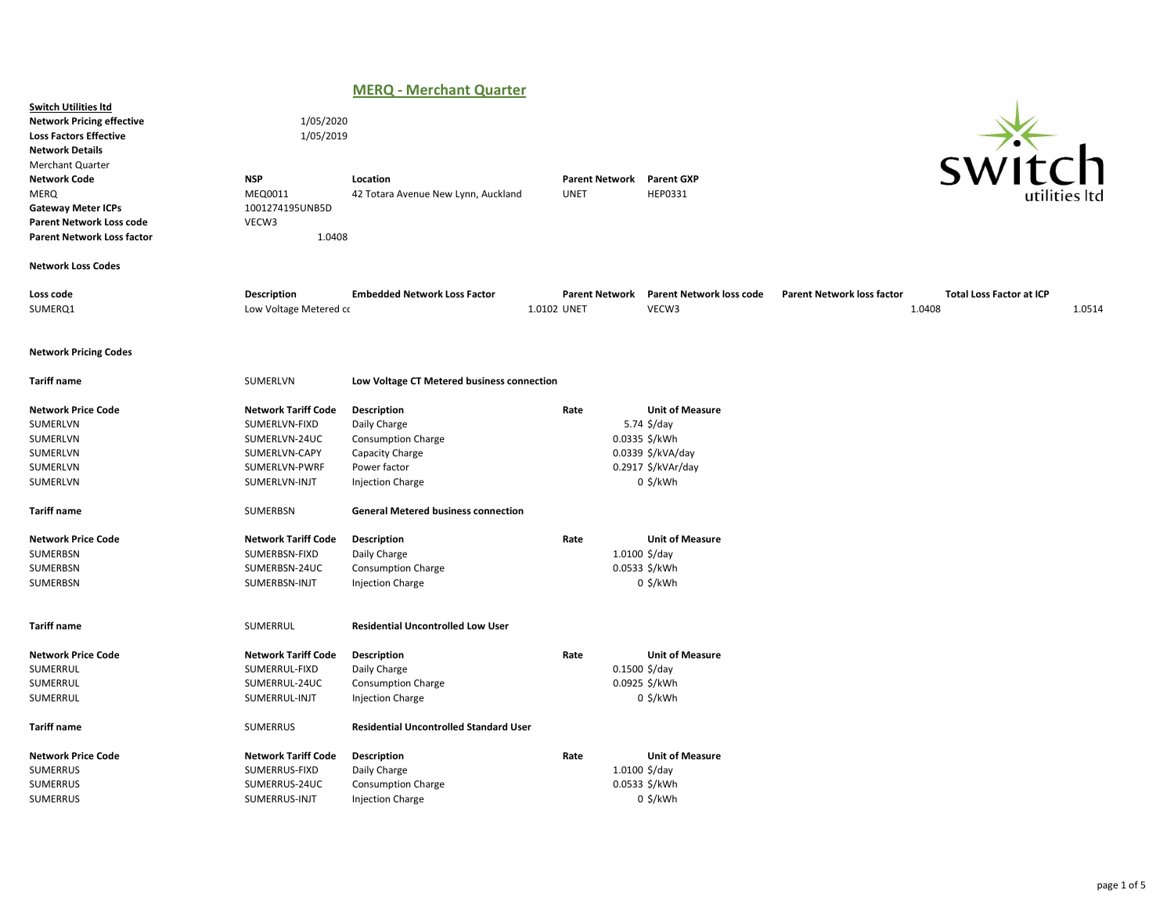# MERQ - Merchant Quarter

|                                                                                                                                                                                                                                                      |                                                                                                                 | .<br>$\ldots$                                                                                                          |                                      |                                                                                                                 |                                                                                |                            |
|------------------------------------------------------------------------------------------------------------------------------------------------------------------------------------------------------------------------------------------------------|-----------------------------------------------------------------------------------------------------------------|------------------------------------------------------------------------------------------------------------------------|--------------------------------------|-----------------------------------------------------------------------------------------------------------------|--------------------------------------------------------------------------------|----------------------------|
| <b>Switch Utilities Itd</b><br><b>Network Pricing effective</b><br><b>Loss Factors Effective</b><br><b>Network Details</b><br><b>Merchant Quarter</b><br><b>Network Code</b><br>MERQ<br><b>Gateway Meter ICPs</b><br><b>Parent Network Loss code</b> | 1/05/2020<br>1/05/2019<br><b>NSP</b><br>MEQ0011<br>1001274195UNB5D<br>VECW3                                     | Location<br>42 Totara Avenue New Lynn, Auckland                                                                        | <b>Parent Network</b><br><b>UNET</b> | <b>Parent GXP</b><br>HEP0331                                                                                    |                                                                                | <u>่า</u><br>utilities Itd |
| <b>Parent Network Loss factor</b>                                                                                                                                                                                                                    | 1.0408                                                                                                          |                                                                                                                        |                                      |                                                                                                                 |                                                                                |                            |
| <b>Network Loss Codes</b>                                                                                                                                                                                                                            |                                                                                                                 |                                                                                                                        |                                      |                                                                                                                 |                                                                                |                            |
| Loss code<br>SUMERQ1                                                                                                                                                                                                                                 | Description<br>Low Voltage Metered co                                                                           | <b>Embedded Network Loss Factor</b>                                                                                    | <b>Parent Network</b><br>1.0102 UNET | <b>Parent Network loss code</b><br>VECW3                                                                        | <b>Parent Network loss factor</b><br><b>Total Loss Factor at ICP</b><br>1.0408 | 1.0514                     |
| <b>Network Pricing Codes</b>                                                                                                                                                                                                                         |                                                                                                                 |                                                                                                                        |                                      |                                                                                                                 |                                                                                |                            |
| <b>Tariff name</b>                                                                                                                                                                                                                                   | SUMERLVN                                                                                                        | Low Voltage CT Metered business connection                                                                             |                                      |                                                                                                                 |                                                                                |                            |
| <b>Network Price Code</b><br>SUMERLVN<br>SUMERLVN<br>SUMERLVN<br>SUMERLVN<br>SUMERLVN                                                                                                                                                                | <b>Network Tariff Code</b><br>SUMERLVN-FIXD<br>SUMERLVN-24UC<br>SUMERLVN-CAPY<br>SUMERLVN-PWRF<br>SUMERLVN-INJT | Description<br>Daily Charge<br><b>Consumption Charge</b><br>Capacity Charge<br>Power factor<br><b>Injection Charge</b> | Rate                                 | <b>Unit of Measure</b><br>5.74 \$/day<br>0.0335 \$/kWh<br>0.0339 \$/kVA/day<br>0.2917 \$/kVAr/day<br>$0$ \$/kWh |                                                                                |                            |
| <b>Tariff name</b>                                                                                                                                                                                                                                   | SUMERBSN                                                                                                        | <b>General Metered business connection</b>                                                                             |                                      |                                                                                                                 |                                                                                |                            |
| <b>Network Price Code</b><br>SUMERBSN<br>SUMERBSN<br>SUMERBSN                                                                                                                                                                                        | <b>Network Tariff Code</b><br>SUMERBSN-FIXD<br>SUMERBSN-24UC<br>SUMERBSN-INJT                                   | Description<br>Daily Charge<br><b>Consumption Charge</b><br><b>Injection Charge</b>                                    | Rate                                 | <b>Unit of Measure</b><br>$1.0100 \frac{5}{day}$<br>0.0533 \$/kWh<br>0 \$/kWh                                   |                                                                                |                            |
| <b>Tariff name</b>                                                                                                                                                                                                                                   | SUMERRUL                                                                                                        | <b>Residential Uncontrolled Low User</b>                                                                               |                                      |                                                                                                                 |                                                                                |                            |
| <b>Network Price Code</b><br>SUMERRUL<br>SUMERRUL<br>SUMERRUL                                                                                                                                                                                        | <b>Network Tariff Code</b><br>SUMERRUL-FIXD<br>SUMERRUL-24UC<br>SUMERRUL-INJT                                   | Description<br>Daily Charge<br><b>Consumption Charge</b><br><b>Injection Charge</b>                                    | Rate                                 | <b>Unit of Measure</b><br>$0.1500$ \$/day<br>0.0925 \$/kWh<br>$0$ \$/kWh                                        |                                                                                |                            |
| <b>Tariff name</b>                                                                                                                                                                                                                                   | <b>SUMERRUS</b>                                                                                                 | <b>Residential Uncontrolled Standard User</b>                                                                          |                                      |                                                                                                                 |                                                                                |                            |
| <b>Network Price Code</b><br><b>SUMERRUS</b><br>SUMERRUS<br><b>SUMERRUS</b>                                                                                                                                                                          | <b>Network Tariff Code</b><br>SUMERRUS-FIXD<br>SUMERRUS-24UC<br>SUMERRUS-INJT                                   | Description<br>Daily Charge<br><b>Consumption Charge</b><br><b>Injection Charge</b>                                    | Rate                                 | <b>Unit of Measure</b><br>$1.0100 \frac{5}{day}$<br>0.0533 \$/kWh<br>$0$ \$/kWh                                 |                                                                                |                            |
|                                                                                                                                                                                                                                                      |                                                                                                                 |                                                                                                                        |                                      |                                                                                                                 |                                                                                |                            |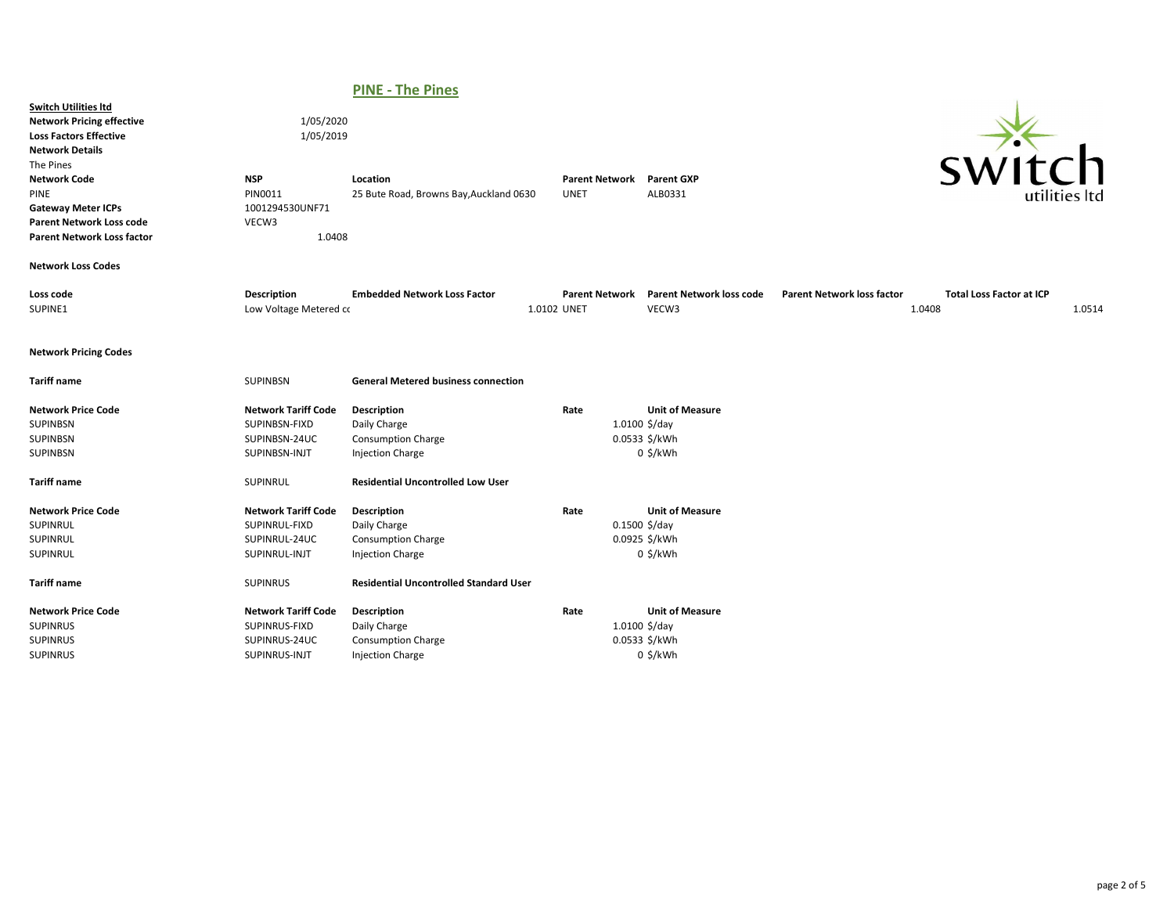# PINE - The Pines

| <b>Switch Utilities Itd</b><br><b>Network Pricing effective</b><br><b>Loss Factors Effective</b><br><b>Network Details</b><br>The Pines<br><b>Network Code</b><br>PINE<br><b>Gateway Meter ICPs</b><br><b>Parent Network Loss code</b><br><b>Parent Network Loss factor</b> | 1/05/2020<br>1/05/2019<br><b>NSP</b><br>PIN0011<br>1001294530UNF71<br>VECW3<br>1.0408 | Location<br>25 Bute Road, Browns Bay, Auckland 0630                                 | <b>Parent Network</b><br><b>UNET</b> | <b>Parent GXP</b><br>ALB0331                          | SWIt                                                                           | $\mathsf{C}\mathsf{h}$<br>utilities ltd |
|-----------------------------------------------------------------------------------------------------------------------------------------------------------------------------------------------------------------------------------------------------------------------------|---------------------------------------------------------------------------------------|-------------------------------------------------------------------------------------|--------------------------------------|-------------------------------------------------------|--------------------------------------------------------------------------------|-----------------------------------------|
| <b>Network Loss Codes</b>                                                                                                                                                                                                                                                   |                                                                                       |                                                                                     |                                      |                                                       |                                                                                |                                         |
| Loss code<br>SUPINE1                                                                                                                                                                                                                                                        | Description<br>Low Voltage Metered co                                                 | <b>Embedded Network Loss Factor</b>                                                 | <b>Parent Network</b><br>1.0102 UNET | <b>Parent Network loss code</b><br>VECW3              | <b>Parent Network loss factor</b><br><b>Total Loss Factor at ICP</b><br>1.0408 | 1.0514                                  |
| <b>Network Pricing Codes</b>                                                                                                                                                                                                                                                |                                                                                       |                                                                                     |                                      |                                                       |                                                                                |                                         |
| <b>Tariff name</b>                                                                                                                                                                                                                                                          | <b>SUPINBSN</b>                                                                       | <b>General Metered business connection</b>                                          |                                      |                                                       |                                                                                |                                         |
| <b>Network Price Code</b><br><b>SUPINBSN</b><br><b>SUPINBSN</b><br><b>SUPINBSN</b>                                                                                                                                                                                          | <b>Network Tariff Code</b><br>SUPINBSN-FIXD<br>SUPINBSN-24UC<br>SUPINBSN-INJT         | Description<br>Daily Charge<br><b>Consumption Charge</b><br><b>Injection Charge</b> | Rate<br>$1.0100$ \$/day              | <b>Unit of Measure</b><br>0.0533 \$/kWh<br>$0$ \$/kWh |                                                                                |                                         |
| <b>Tariff name</b>                                                                                                                                                                                                                                                          | SUPINRUL                                                                              | <b>Residential Uncontrolled Low User</b>                                            |                                      |                                                       |                                                                                |                                         |
| <b>Network Price Code</b><br>SUPINRUL<br>SUPINRUL<br>SUPINRUL                                                                                                                                                                                                               | <b>Network Tariff Code</b><br>SUPINRUL-FIXD<br>SUPINRUL-24UC<br>SUPINRUL-INJT         | Description<br>Daily Charge<br><b>Consumption Charge</b><br><b>Injection Charge</b> | Rate<br>$0.1500$ \$/day              | <b>Unit of Measure</b><br>0.0925 \$/kWh<br>$0$ \$/kWh |                                                                                |                                         |
| <b>Tariff name</b>                                                                                                                                                                                                                                                          | <b>SUPINRUS</b>                                                                       | <b>Residential Uncontrolled Standard User</b>                                       |                                      |                                                       |                                                                                |                                         |
| <b>Network Price Code</b><br><b>SUPINRUS</b><br><b>SUPINRUS</b><br><b>SUPINRUS</b>                                                                                                                                                                                          | <b>Network Tariff Code</b><br>SUPINRUS-FIXD<br>SUPINRUS-24UC<br>SUPINRUS-INJT         | Description<br>Daily Charge<br><b>Consumption Charge</b><br><b>Injection Charge</b> | Rate<br>$1.0100 \frac{5}{day}$       | <b>Unit of Measure</b><br>0.0533 \$/kWh<br>$0$ \$/kWh |                                                                                |                                         |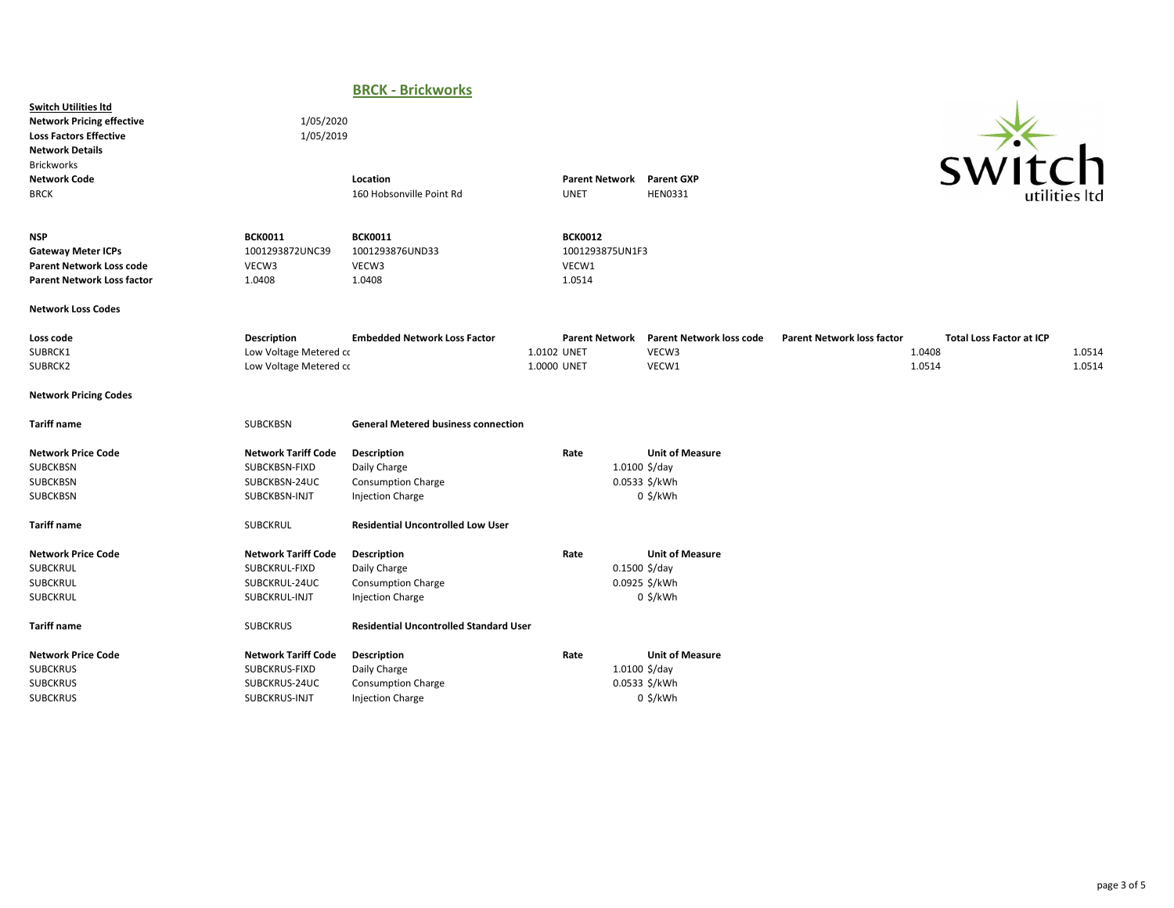## BRCK - Brickworks

Switch Utilities ltd Network Pricing effective 1/05/2020 Loss Factors Effective 1/05/2019 Network Details Brickworks<br>Network Code



| <b>Network Code</b><br><b>BRCK</b>                                                                              |                                                                               | Location<br>160 Hobsonville Point Rd                                                | <b>UNET</b>                | <b>Parent Network</b>                      | <b>Parent GXP</b><br><b>HEN0331</b>                                      |                                   | <b>SVVILLII</b>                                     | utilities ltd    |
|-----------------------------------------------------------------------------------------------------------------|-------------------------------------------------------------------------------|-------------------------------------------------------------------------------------|----------------------------|--------------------------------------------|--------------------------------------------------------------------------|-----------------------------------|-----------------------------------------------------|------------------|
| <b>NSP</b><br><b>Gateway Meter ICPs</b><br><b>Parent Network Loss code</b><br><b>Parent Network Loss factor</b> | <b>BCK0011</b><br>1001293872UNC39<br>VECW3<br>1.0408                          | <b>BCK0011</b><br>1001293876UND33<br>VECW3<br>1.0408                                | 1.0514                     | <b>BCK0012</b><br>1001293875UN1F3<br>VECW1 |                                                                          |                                   |                                                     |                  |
| <b>Network Loss Codes</b>                                                                                       |                                                                               |                                                                                     |                            |                                            |                                                                          |                                   |                                                     |                  |
| Loss code<br>SUBRCK1<br>SUBRCK2                                                                                 | Description<br>Low Voltage Metered co<br>Low Voltage Metered co               | <b>Embedded Network Loss Factor</b>                                                 | 1.0102 UNET<br>1.0000 UNET | <b>Parent Network</b>                      | <b>Parent Network loss code</b><br>VECW3<br>VECW1                        | <b>Parent Network loss factor</b> | <b>Total Loss Factor at ICP</b><br>1.0408<br>1.0514 | 1.0514<br>1.0514 |
| <b>Network Pricing Codes</b>                                                                                    |                                                                               |                                                                                     |                            |                                            |                                                                          |                                   |                                                     |                  |
| <b>Tariff name</b>                                                                                              | SUBCKBSN                                                                      | <b>General Metered business connection</b>                                          |                            |                                            |                                                                          |                                   |                                                     |                  |
| <b>Network Price Code</b><br>SUBCKBSN<br>SUBCKBSN<br><b>SUBCKBSN</b>                                            | <b>Network Tariff Code</b><br>SUBCKBSN-FIXD<br>SUBCKBSN-24UC<br>SUBCKBSN-INJT | Description<br>Daily Charge<br><b>Consumption Charge</b><br><b>Injection Charge</b> | Rate                       |                                            | <b>Unit of Measure</b><br>$1.0100$ \$/day<br>0.0533 \$/kWh<br>$0$ \$/kWh |                                   |                                                     |                  |
| <b>Tariff name</b>                                                                                              | <b>SUBCKRUL</b>                                                               | <b>Residential Uncontrolled Low User</b>                                            |                            |                                            |                                                                          |                                   |                                                     |                  |
| <b>Network Price Code</b><br>SUBCKRUL<br><b>SUBCKRUL</b><br><b>SUBCKRUL</b>                                     | <b>Network Tariff Code</b><br>SUBCKRUL-FIXD<br>SUBCKRUL-24UC<br>SUBCKRUL-INJT | Description<br>Daily Charge<br><b>Consumption Charge</b><br><b>Injection Charge</b> | Rate                       |                                            | <b>Unit of Measure</b><br>$0.1500$ \$/day<br>0.0925 \$/kWh<br>$0$ \$/kWh |                                   |                                                     |                  |
| <b>Tariff name</b>                                                                                              | <b>SUBCKRUS</b>                                                               | <b>Residential Uncontrolled Standard User</b>                                       |                            |                                            |                                                                          |                                   |                                                     |                  |
| <b>Network Price Code</b><br><b>SUBCKRUS</b><br><b>SUBCKRUS</b><br><b>SUBCKRUS</b>                              | <b>Network Tariff Code</b><br>SUBCKRUS-FIXD<br>SUBCKRUS-24UC<br>SUBCKRUS-INJT | Description<br>Daily Charge<br><b>Consumption Charge</b><br><b>Injection Charge</b> | Rate                       |                                            | <b>Unit of Measure</b><br>$1.0100$ \$/day<br>0.0533 \$/kWh<br>$0$ \$/kWh |                                   |                                                     |                  |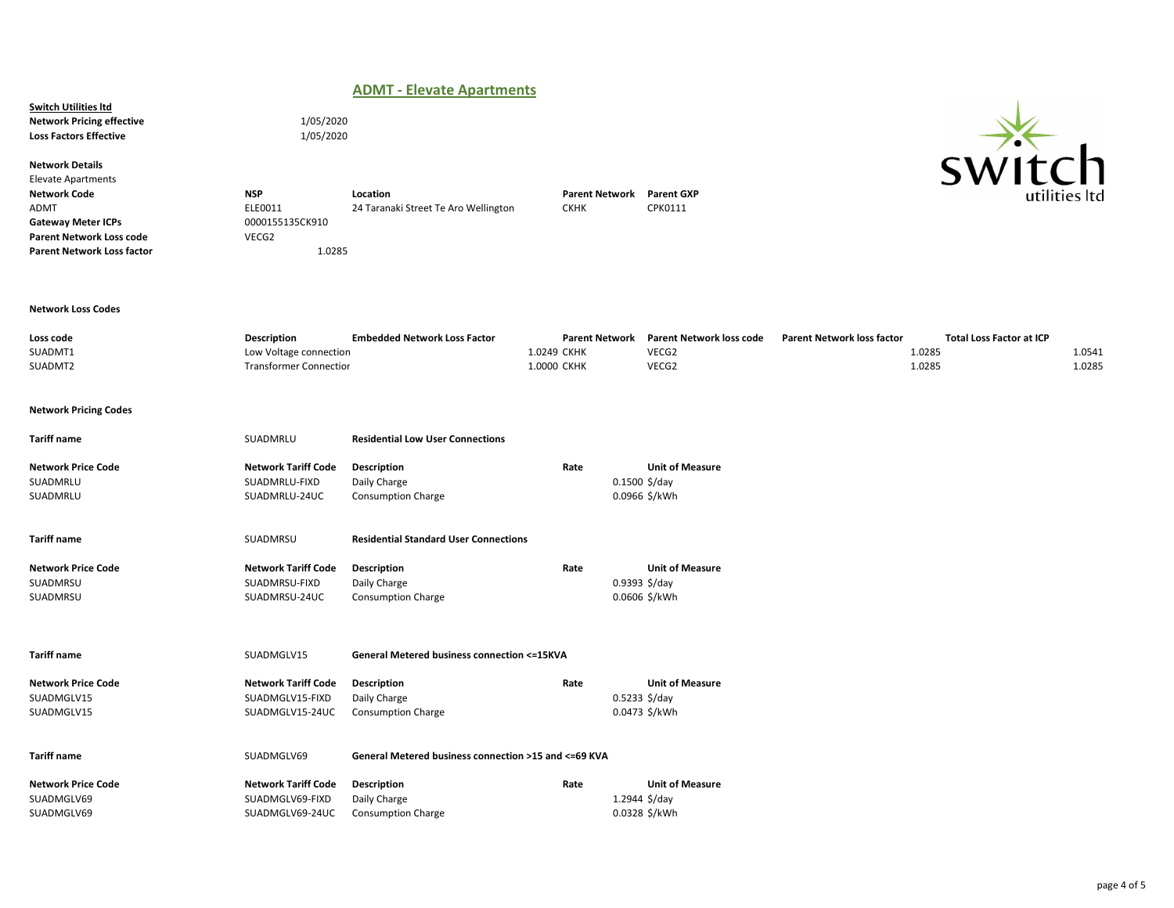## ADMT - Elevate Apartments

Switch Utilities ltd Network Pricing effective 1/05/2020 Loss Factors Effective 1/05/2020

Network Details Elevate Apartments

24 Taranaki Street Te Aro Wellington Gateway Meter ICPs 0000155135CK910 Parent Network Loss code VECG2 Parent Network Loss factor 1.0285

Network Code **NSP** Location Control Detwork Parent Network Parent GXP<br>ADMT ADMT DELEO011 24 Taranaki Street Te Aro Wellington CKHK CPK0111

### Network Loss Codes

| Loss code | Description                   | <b>Embedded Network Loss Factor</b> | <b>Parent Network</b> | Parent Network loss code | <b>Parent Network loss factor</b> | Total Loss Factor at ICP |        |
|-----------|-------------------------------|-------------------------------------|-----------------------|--------------------------|-----------------------------------|--------------------------|--------|
| SUADMT1   | Low Voltage connection        |                                     | 1.0249 CKHK           | VECG2                    | 1.0285                            |                          | 1.0541 |
| SUADMT2   | <b>Transformer Connectior</b> |                                     | 1.0000 CKHK           | VECG2                    | 1.0285                            |                          | 1.0285 |
|           |                               |                                     |                       |                          |                                   |                          |        |

### Network Pricing Codes

Tariff name SUADMRLU Residential Low User Connections Network Price Code **Network Tariff Code Description Network Tariff Code Constant Constant Price Code Unit of Measure**<br>SUADMRLU-FIXD Daily Charge **Rate** 1.1500 \$/day SUADMRLU SUADMRLU-FIXD Daily Charge SUADMRLU SUADMRLU-24UC Consumption Charge 60.0966 \$/kWh (0.0966 \$/kWh Tariff name SUADMRSU Residential Standard User Connections

| <b>Network Price Code</b> | <b>Network Tariff Code</b> | <b>Description</b>        | Rate          | <b>Unit of Measure</b> |
|---------------------------|----------------------------|---------------------------|---------------|------------------------|
| SUADMRSU                  | SUADMRSU-FIXD              | Daily Charge              | 0.9393 \$/day |                        |
| SUADMRSU                  | SUADMRSU-24UC              | <b>Consumption Charge</b> |               | 0.0606 \$/kWh          |

Tariff name Tariff name SUADMGLV15 General Metered business connection <= 15KVA

| Network Price Code | Network Tariff Code | Description               | Rate | <b>Unit of Measure</b> |
|--------------------|---------------------|---------------------------|------|------------------------|
| SUADMGLV15         | SUADMGLV15-FIXD     | Daily Charge              |      | $0.5233$ \$/day        |
| SUADMGLV15         | SUADMGLV15-24UC     | <b>Consumption Charge</b> |      | 0.0473 \$/kWh          |

### Tariff name Tariff name SUADMGLV69 General Metered business connection >15 and <= 69 KVA

| Network Price Code | Network Tariff Code | Description               | Rate | <b>Unit of Measure</b> |
|--------------------|---------------------|---------------------------|------|------------------------|
| SUADMGLV69         | SUADMGLV69-FIXD     | Daily Charge              |      | 1.2944 \$/day          |
| SUADMGLV69         | SUADMGLV69-24UC     | <b>Consumption Charge</b> |      | 0.0328 \$/kWh          |